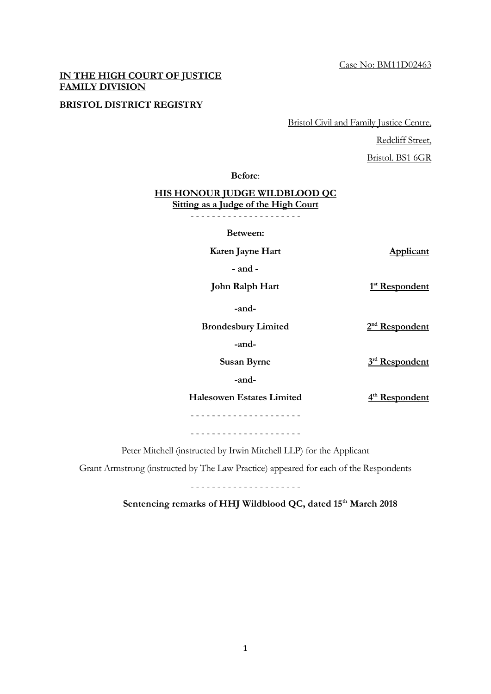## **IN THE HIGH COURT OF JUSTICE FAMILY DIVISION**

## **BRISTOL DISTRICT REGISTRY**

Bristol Civil and Family Justice Centre,

Redcliff Street.

Bristol. BS1 6GR

**Before**:

## **HIS HONOUR JUDGE WILDBLOOD QC Sitting as a Judge of the High Court**

- - - - - - - - - - - - - - - - - - - - -

**Between:**

**Karen Jayne Hart Applicant** 

 **- and -** 

**John Ralph Hart** 

 **-and-**

**Brondesbury Limited** 

2<sup>nd</sup> Respondent

 $3<sup>rd</sup>$  Respondent

 $1<sup>st</sup>$  Respondent

 **-and-**

**Susan Byrne** 

 **-and-**

**Halesowen Estates Limited** 

 $4<sup>th</sup>$  Respondent

- - - - - - - - - - - - - - - - - - - - -

- - - - - - - - - - - - - - - - - - - - -

Peter Mitchell (instructed by Irwin Mitchell LLP) for the Applicant

Grant Armstrong (instructed by The Law Practice) appeared for each of the Respondents

- - - - - - - - - - - - - - - - - - - - -

Sentencing remarks of HHJ Wildblood QC, dated 15<sup>th</sup> March 2018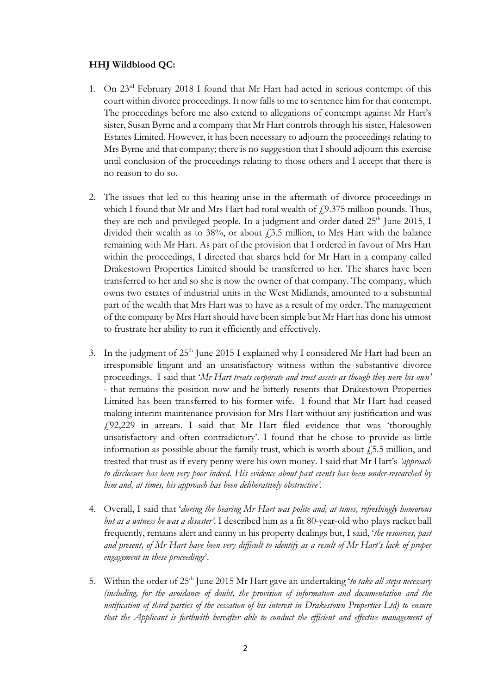## **HHJ Wildblood QC:**

- 1. On 23<sup>rd</sup> February 2018 I found that Mr Hart had acted in serious contempt of this court within divorce proceedings. It now falls to me to sentence him for that contempt. The proceedings before me also extend to allegations of contempt against Mr Hart's sister, Susan Byrne and a company that Mr Hart controls through his sister, Halesowen Estates Limited. However, it has been necessary to adjourn the proceedings relating to Mrs Byrne and that company; there is no suggestion that I should adjourn this exercise until conclusion of the proceedings relating to those others and I accept that there is no reason to do so.
- 2. The issues that led to this hearing arise in the aftermath of divorce proceedings in which I found that Mr and Mrs Hart had total wealth of  $f$ , 9.375 million pounds. Thus, they are rich and privileged people. In a judgment and order dated  $25<sup>th</sup>$  June 2015, I divided their wealth as to 38%, or about  $\dot{f}$ , 3.5 million, to Mrs Hart with the balance remaining with Mr Hart. As part of the provision that I ordered in favour of Mrs Hart within the proceedings, I directed that shares held for Mr Hart in a company called Drakestown Properties Limited should be transferred to her. The shares have been transferred to her and so she is now the owner of that company. The company, which owns two estates of industrial units in the West Midlands, amounted to a substantial part of the wealth that Mrs Hart was to have as a result of my order. The management of the company by Mrs Hart should have been simple but Mr Hart has done his utmost to frustrate her ability to run it efficiently and effectively.
- 3. In the judgment of  $25<sup>th</sup>$  June 2015 I explained why I considered Mr Hart had been an irresponsible litigant and an unsatisfactory witness within the substantive divorce proceedings. I said that '*Mr Hart treats corporate and trust assets as though they were his own'*  - that remains the position now and he bitterly resents that Drakestown Properties Limited has been transferred to his former wife. I found that Mr Hart had ceased making interim maintenance provision for Mrs Hart without any justification and was £92,229 in arrears. I said that Mr Hart filed evidence that was 'thoroughly unsatisfactory and often contradictory'. I found that he chose to provide as little information as possible about the family trust, which is worth about  $f$ , 5.5 million, and treated that trust as if every penny were his own money. I said that Mr Hart's *'approach to disclosure has been very poor indeed. His evidence about past events has been under-researched by him and, at times, his approach has been deliberatively obstructive'.*
- 4. Overall, I said that '*during the hearing Mr Hart was polite and, at times, refreshingly humorous but as a witness he was a disaster'*. I described him as a fit 80-year-old who plays racket ball frequently, remains alert and canny in his property dealings but, I said, '*the resources, past and present, of Mr Hart have been very difficult to identify as a result of Mr Hart's lack of proper engagement in these proceedings*'.
- 5. Within the order of 25th June 2015 Mr Hart gave an undertaking '*to take all steps necessary (including, for the avoidance of doubt, the provision of information and documentation and the notification of third parties of the cessation of his interest in Drakestown Properties Ltd) to ensure that the Applicant is forthwith hereafter able to conduct the efficient and effective management of*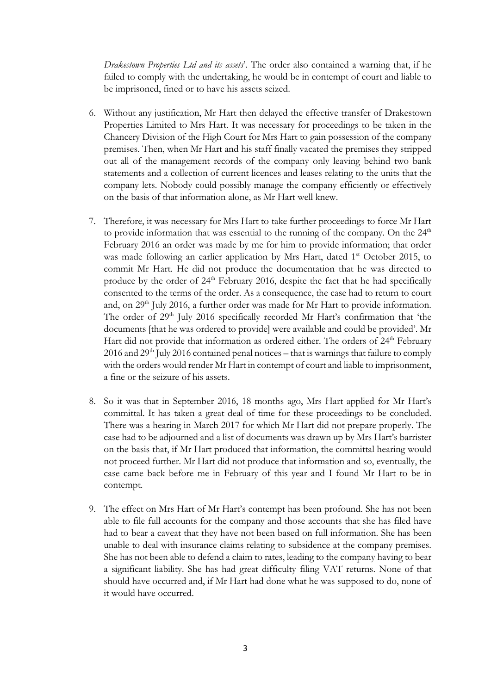*Drakestown Properties Ltd and its assets*'. The order also contained a warning that, if he failed to comply with the undertaking, he would be in contempt of court and liable to be imprisoned, fined or to have his assets seized.

- 6. Without any justification, Mr Hart then delayed the effective transfer of Drakestown Properties Limited to Mrs Hart. It was necessary for proceedings to be taken in the Chancery Division of the High Court for Mrs Hart to gain possession of the company premises. Then, when Mr Hart and his staff finally vacated the premises they stripped out all of the management records of the company only leaving behind two bank statements and a collection of current licences and leases relating to the units that the company lets. Nobody could possibly manage the company efficiently or effectively on the basis of that information alone, as Mr Hart well knew.
- 7. Therefore, it was necessary for Mrs Hart to take further proceedings to force Mr Hart to provide information that was essential to the running of the company. On the  $24<sup>th</sup>$ February 2016 an order was made by me for him to provide information; that order was made following an earlier application by Mrs Hart, dated 1<sup>st</sup> October 2015, to commit Mr Hart. He did not produce the documentation that he was directed to produce by the order of  $24<sup>th</sup>$  February 2016, despite the fact that he had specifically consented to the terms of the order. As a consequence, the case had to return to court and, on 29<sup>th</sup> July 2016, a further order was made for Mr Hart to provide information. The order of 29<sup>th</sup> July 2016 specifically recorded Mr Hart's confirmation that 'the documents [that he was ordered to provide] were available and could be provided'. Mr Hart did not provide that information as ordered either. The orders of 24<sup>th</sup> February 2016 and 29<sup>th</sup> July 2016 contained penal notices – that is warnings that failure to comply with the orders would render Mr Hart in contempt of court and liable to imprisonment, a fine or the seizure of his assets.
- 8. So it was that in September 2016, 18 months ago, Mrs Hart applied for Mr Hart's committal. It has taken a great deal of time for these proceedings to be concluded. There was a hearing in March 2017 for which Mr Hart did not prepare properly. The case had to be adjourned and a list of documents was drawn up by Mrs Hart's barrister on the basis that, if Mr Hart produced that information, the committal hearing would not proceed further. Mr Hart did not produce that information and so, eventually, the case came back before me in February of this year and I found Mr Hart to be in contempt.
- 9. The effect on Mrs Hart of Mr Hart's contempt has been profound. She has not been able to file full accounts for the company and those accounts that she has filed have had to bear a caveat that they have not been based on full information. She has been unable to deal with insurance claims relating to subsidence at the company premises. She has not been able to defend a claim to rates, leading to the company having to bear a significant liability. She has had great difficulty filing VAT returns. None of that should have occurred and, if Mr Hart had done what he was supposed to do, none of it would have occurred.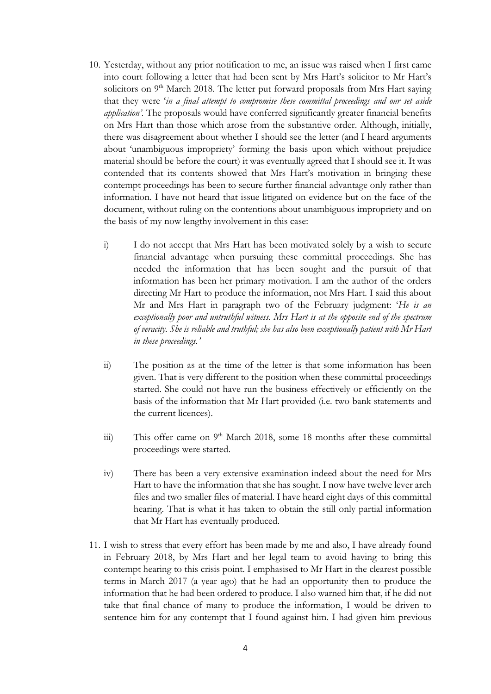- 10. Yesterday, without any prior notification to me, an issue was raised when I first came into court following a letter that had been sent by Mrs Hart's solicitor to Mr Hart's solicitors on 9<sup>th</sup> March 2018. The letter put forward proposals from Mrs Hart saying that they were '*in a final attempt to compromise these committal proceedings and our set aside application'.* The proposals would have conferred significantly greater financial benefits on Mrs Hart than those which arose from the substantive order. Although, initially, there was disagreement about whether I should see the letter (and I heard arguments about 'unambiguous impropriety' forming the basis upon which without prejudice material should be before the court) it was eventually agreed that I should see it. It was contended that its contents showed that Mrs Hart's motivation in bringing these contempt proceedings has been to secure further financial advantage only rather than information. I have not heard that issue litigated on evidence but on the face of the document, without ruling on the contentions about unambiguous impropriety and on the basis of my now lengthy involvement in this case:
	- i) I do not accept that Mrs Hart has been motivated solely by a wish to secure financial advantage when pursuing these committal proceedings. She has needed the information that has been sought and the pursuit of that information has been her primary motivation. I am the author of the orders directing Mr Hart to produce the information, not Mrs Hart. I said this about Mr and Mrs Hart in paragraph two of the February judgment: '*He is an exceptionally poor and untruthful witness. Mrs Hart is at the opposite end of the spectrum of veracity. She is reliable and truthful; she has also been exceptionally patient with Mr Hart in these proceedings.'*
	- ii) The position as at the time of the letter is that some information has been given. That is very different to the position when these committal proceedings started. She could not have run the business effectively or efficiently on the basis of the information that Mr Hart provided (i.e. two bank statements and the current licences).
	- iii) This offer came on  $9<sup>th</sup>$  March 2018, some 18 months after these committal proceedings were started.
	- iv) There has been a very extensive examination indeed about the need for Mrs Hart to have the information that she has sought. I now have twelve lever arch files and two smaller files of material. I have heard eight days of this committal hearing. That is what it has taken to obtain the still only partial information that Mr Hart has eventually produced.
- 11. I wish to stress that every effort has been made by me and also, I have already found in February 2018, by Mrs Hart and her legal team to avoid having to bring this contempt hearing to this crisis point. I emphasised to Mr Hart in the clearest possible terms in March 2017 (a year ago) that he had an opportunity then to produce the information that he had been ordered to produce. I also warned him that, if he did not take that final chance of many to produce the information, I would be driven to sentence him for any contempt that I found against him. I had given him previous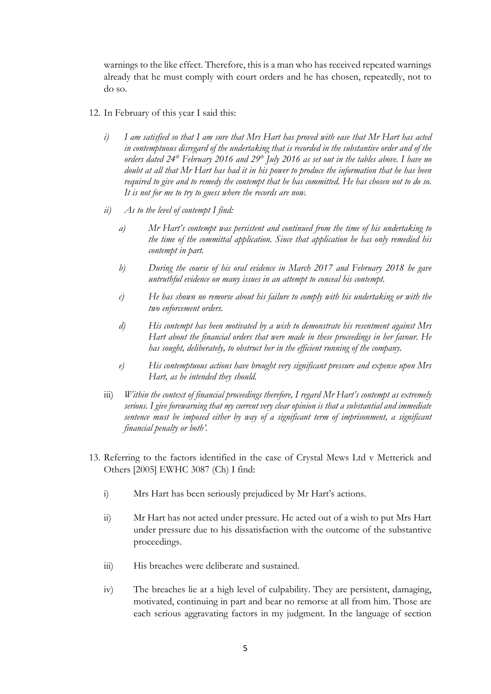warnings to the like effect. Therefore, this is a man who has received repeated warnings already that he must comply with court orders and he has chosen, repeatedly, not to do so.

- 12. In February of this year I said this:
	- *i) I am satisfied so that I am sure that Mrs Hart has proved with ease that Mr Hart has acted in contemptuous disregard of the undertaking that is recorded in the substantive order and of the orders dated 24th February 2016 and 29th July 2016 as set out in the tables above. I have no doubt at all that Mr Hart has had it in his power to produce the information that he has been required to give and to remedy the contempt that he has committed. He has chosen not to do so. It is not for me to try to guess where the records are now.*
	- *ii) As to the level of contempt I find:* 
		- *a) Mr Hart's contempt was persistent and continued from the time of his undertaking to the time of the committal application. Since that application he has only remedied his contempt in part.*
		- *b) During the course of his oral evidence in March 2017 and February 2018 he gave untruthful evidence on many issues in an attempt to conceal his contempt.*
		- *c) He has shown no remorse about his failure to comply with his undertaking or with the two enforcement orders.*
		- *d) His contempt has been motivated by a wish to demonstrate his resentment against Mrs Hart about the financial orders that were made in these proceedings in her favour. He has sought, deliberately, to obstruct her in the efficient running of the company.*
		- *e) His contemptuous actions have brought very significant pressure and expense upon Mrs Hart, as he intended they should.*
	- *financial penalty or both'.* iii) *Within the context of financial proceedings therefore, I regard Mr Hart's contempt as extremely serious. I give forewarning that my current very clear opinion is that a substantial and immediate sentence must be imposed either by way of a significant term of imprisonment, a significant*
- 13. Referring to the factors identified in the case of Crystal Mews Ltd v Metterick and Others [2005] EWHC 3087 (Ch) I find:
	- i) Mrs Hart has been seriously prejudiced by Mr Hart's actions.
	- ii) Mr Hart has not acted under pressure. He acted out of a wish to put Mrs Hart under pressure due to his dissatisfaction with the outcome of the substantive proceedings.
	- iii) His breaches were deliberate and sustained.
	- iv) The breaches lie at a high level of culpability. They are persistent, damaging, motivated, continuing in part and bear no remorse at all from him. Those are each serious aggravating factors in my judgment. In the language of section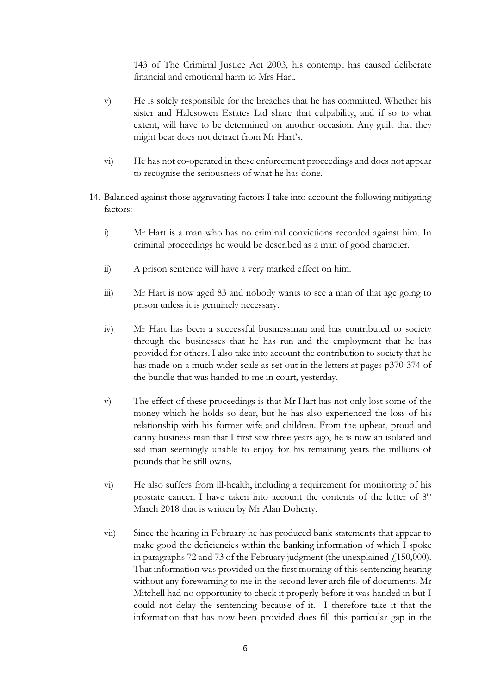143 of The Criminal Justice Act 2003, his contempt has caused deliberate financial and emotional harm to Mrs Hart.

- v) He is solely responsible for the breaches that he has committed. Whether his sister and Halesowen Estates Ltd share that culpability, and if so to what extent, will have to be determined on another occasion. Any guilt that they might bear does not detract from Mr Hart's.
- vi) He has not co-operated in these enforcement proceedings and does not appear to recognise the seriousness of what he has done.
- 14. Balanced against those aggravating factors I take into account the following mitigating factors:
	- i) Mr Hart is a man who has no criminal convictions recorded against him. In criminal proceedings he would be described as a man of good character.
	- ii) A prison sentence will have a very marked effect on him.
	- iii) Mr Hart is now aged 83 and nobody wants to see a man of that age going to prison unless it is genuinely necessary.
	- iv) Mr Hart has been a successful businessman and has contributed to society through the businesses that he has run and the employment that he has provided for others. I also take into account the contribution to society that he has made on a much wider scale as set out in the letters at pages p370-374 of the bundle that was handed to me in court, yesterday.
	- v) The effect of these proceedings is that Mr Hart has not only lost some of the money which he holds so dear, but he has also experienced the loss of his relationship with his former wife and children. From the upbeat, proud and canny business man that I first saw three years ago, he is now an isolated and sad man seemingly unable to enjoy for his remaining years the millions of pounds that he still owns.
	- vi) He also suffers from ill-health, including a requirement for monitoring of his prostate cancer. I have taken into account the contents of the letter of  $8<sup>th</sup>$ March 2018 that is written by Mr Alan Doherty.
	- vii) Since the hearing in February he has produced bank statements that appear to make good the deficiencies within the banking information of which I spoke in paragraphs 72 and 73 of the February judgment (the unexplained  $\ell$ 150,000). That information was provided on the first morning of this sentencing hearing without any forewarning to me in the second lever arch file of documents. Mr Mitchell had no opportunity to check it properly before it was handed in but I could not delay the sentencing because of it. I therefore take it that the information that has now been provided does fill this particular gap in the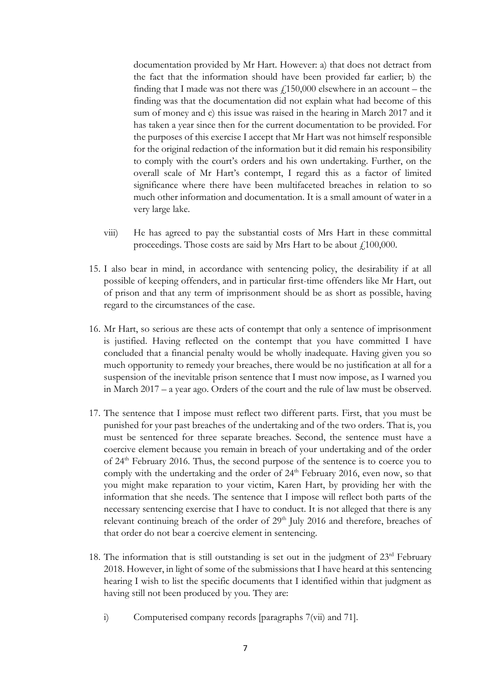documentation provided by Mr Hart. However: a) that does not detract from the fact that the information should have been provided far earlier; b) the finding that I made was not there was  $f<sub>1</sub>150,000$  elsewhere in an account – the finding was that the documentation did not explain what had become of this sum of money and c) this issue was raised in the hearing in March 2017 and it has taken a year since then for the current documentation to be provided. For the purposes of this exercise I accept that Mr Hart was not himself responsible for the original redaction of the information but it did remain his responsibility to comply with the court's orders and his own undertaking. Further, on the overall scale of Mr Hart's contempt, I regard this as a factor of limited significance where there have been multifaceted breaches in relation to so much other information and documentation. It is a small amount of water in a very large lake.

- viii) He has agreed to pay the substantial costs of Mrs Hart in these committal proceedings. Those costs are said by Mrs Hart to be about  $f<sub>1</sub>100,000$ .
- 15. I also bear in mind, in accordance with sentencing policy, the desirability if at all possible of keeping offenders, and in particular first-time offenders like Mr Hart, out of prison and that any term of imprisonment should be as short as possible, having regard to the circumstances of the case.
- 16. Mr Hart, so serious are these acts of contempt that only a sentence of imprisonment is justified. Having reflected on the contempt that you have committed I have concluded that a financial penalty would be wholly inadequate. Having given you so much opportunity to remedy your breaches, there would be no justification at all for a suspension of the inevitable prison sentence that I must now impose, as I warned you in March 2017 – a year ago. Orders of the court and the rule of law must be observed.
- 17. The sentence that I impose must reflect two different parts. First, that you must be punished for your past breaches of the undertaking and of the two orders. That is, you must be sentenced for three separate breaches. Second, the sentence must have a coercive element because you remain in breach of your undertaking and of the order of 24th February 2016. Thus, the second purpose of the sentence is to coerce you to comply with the undertaking and the order of  $24<sup>th</sup>$  February 2016, even now, so that you might make reparation to your victim, Karen Hart, by providing her with the information that she needs. The sentence that I impose will reflect both parts of the necessary sentencing exercise that I have to conduct. It is not alleged that there is any relevant continuing breach of the order of 29<sup>th</sup> July 2016 and therefore, breaches of that order do not bear a coercive element in sentencing.
- 18. The information that is still outstanding is set out in the judgment of  $23<sup>rd</sup>$  February 2018. However, in light of some of the submissions that I have heard at this sentencing hearing I wish to list the specific documents that I identified within that judgment as having still not been produced by you. They are:
	- i) Computerised company records [paragraphs 7(vii) and 71].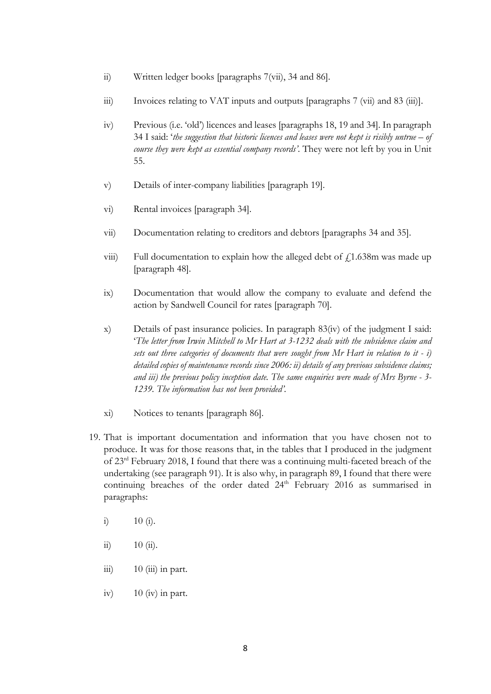- ii) Written ledger books [paragraphs 7(vii), 34 and 86].
- iii) Invoices relating to VAT inputs and outputs [paragraphs 7 (vii) and 83 (iii)].
- iv) Previous (i.e. 'old') licences and leases [paragraphs 18, 19 and 34]. In paragraph 34 I said: '*the suggestion that historic licences and leases were not kept is risibly untrue – of course they were kept as essential company records'*. They were not left by you in Unit 55.
- v) Details of inter-company liabilities [paragraph 19].
- vi) Rental invoices [paragraph 34].
- vii) Documentation relating to creditors and debtors [paragraphs 34 and 35].
- viii) Full documentation to explain how the alleged debt of  $f_1$ 1.638m was made up [paragraph 48].
- ix) Documentation that would allow the company to evaluate and defend the action by Sandwell Council for rates [paragraph 70].
- x) Details of past insurance policies. In paragraph 83(iv) of the judgment I said: '*The letter from Irwin Mitchell to Mr Hart at 3-1232 deals with the subsidence claim and sets out three categories of documents that were sought from Mr Hart in relation to it - i) detailed copies of maintenance records since 2006: ii) details of any previous subsidence claims; and iii) the previous policy inception date. The same enquiries were made of Mrs Byrne - 3- 1239. The information has not been provided'.*
- xi) Notices to tenants [paragraph 86].
- 19. That is important documentation and information that you have chosen not to produce. It was for those reasons that, in the tables that I produced in the judgment of 23rd February 2018, I found that there was a continuing multi-faceted breach of the undertaking (see paragraph 91). It is also why, in paragraph 89, I found that there were continuing breaches of the order dated 24<sup>th</sup> February 2016 as summarised in paragraphs:
	- i)  $10 \text{ (i)}$ .
	- ii)  $10 \text{ (ii)}$ .
	- $\overline{\text{iii}}$  10 (iii) in part.
	- iv)  $10 \text{ (iv)}$  in part.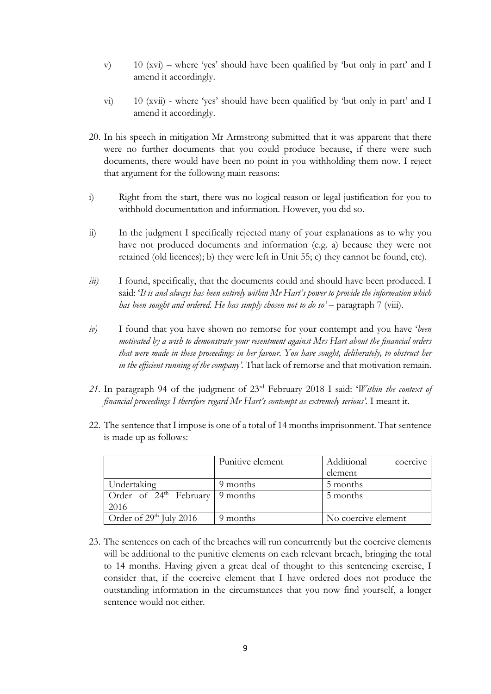- v) 10 (xvi) where 'yes' should have been qualified by 'but only in part' and I amend it accordingly.
- vi) 10 (xvii) where 'yes' should have been qualified by 'but only in part' and I amend it accordingly.
- 20. In his speech in mitigation Mr Armstrong submitted that it was apparent that there were no further documents that you could produce because, if there were such documents, there would have been no point in you withholding them now. I reject that argument for the following main reasons:
- i) Right from the start, there was no logical reason or legal justification for you to withhold documentation and information. However, you did so.
- ii) In the judgment I specifically rejected many of your explanations as to why you have not produced documents and information (e.g. a) because they were not retained (old licences); b) they were left in Unit 55; c) they cannot be found, etc).
- *iii*) I found, specifically, that the documents could and should have been produced. I said: '*It is and always has been entirely within Mr Hart's power to provide the information which has been sought and ordered. He has simply chosen not to do so'* – paragraph 7 (viii).
- *iv*) I found that you have shown no remorse for your contempt and you have '*been motivated by a wish to demonstrate your resentment against Mrs Hart about the financial orders that were made in these proceedings in her favour. You have sought, deliberately, to obstruct her in the efficient running of the company'.* That lack of remorse and that motivation remain.
- *21.* In paragraph 94 of the judgment of 23rd February 2018 I said: '*Within the context of financial proceedings I therefore regard Mr Hart's contempt as extremely serious'.* I meant it.
- 22. The sentence that I impose is one of a total of 14 months imprisonment. That sentence is made up as follows:

|                                               | Punitive element | Additional<br>coercive |
|-----------------------------------------------|------------------|------------------------|
|                                               |                  | element                |
| Undertaking                                   | 9 months         | 5 months               |
| Order of $24^{\text{th}}$ February   9 months |                  | 5 months               |
| 2016                                          |                  |                        |
| Order of 29 <sup>th</sup> July 2016           | 9 months         | No coercive element    |

23. The sentences on each of the breaches will run concurrently but the coercive elements will be additional to the punitive elements on each relevant breach, bringing the total to 14 months. Having given a great deal of thought to this sentencing exercise, I consider that, if the coercive element that I have ordered does not produce the outstanding information in the circumstances that you now find yourself, a longer sentence would not either.